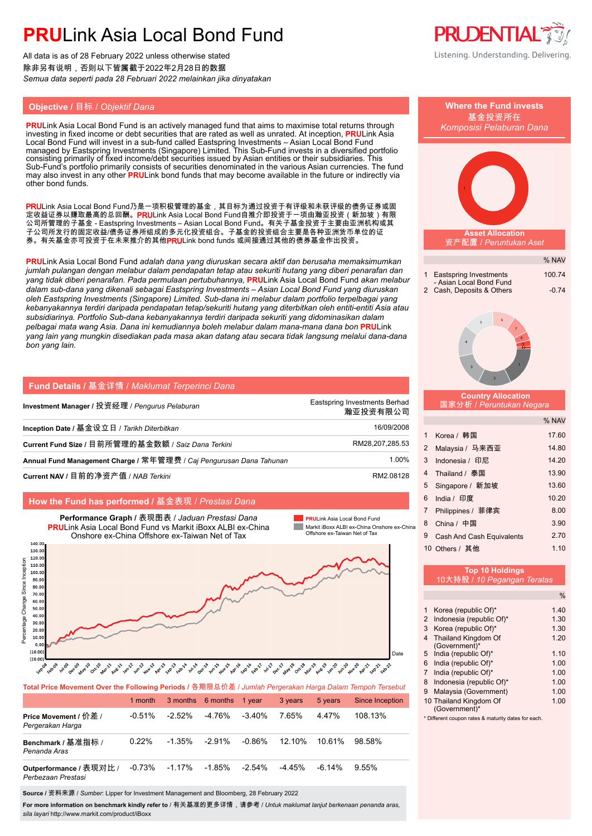# **PRU**Link Asia Local Bond Fund

All data is as of 28 February 2022 unless otherwise stated 除非另有说明,否则以下皆属截于2022年2月28日的数据 *Semua data seperti pada 28 Februari 2022 melainkan jika dinyatakan*

### **Objective /** 目标 / *Objektif Dana* **Where the Fund invests**

**PRU**Link Asia Local Bond Fund is an actively managed fund that aims to maximise total returns through investing in fixed income or debt securities that are rated as well as unrated. At inception, **PRU**Link Asia Local Bond Fund will invest in a sub-fund called Eastspring Investments – Asian Local Bond Fund managed by Eastspring Investments (Singapore) Limited. This Sub-Fund invests in a diversified portfolio consisting primarily of fixed income/debt securities issued by Asian entities or their subsidiaries. This Sub-Fund's portfolio primarily consists of securities denominated in the various Asian currencies. The fund may also invest in any other **PRU**Link bond funds that may become available in the future or indirectly via other bond funds.

PRULink Asia Local Bond Fund乃是一项积极管理的基金,其目标为通过投资于有评级和未获评级的债务证券或固 定收益证券以赚取最高的总回酬。PRULink Asia Local Bond Fund自推介即投资于一项由瀚亚投资(新加坡)有限 公司所管理的子基金 - Eastspring Investments – Asian Local Bond Fund。有关子基金投资于主要由亚洲机构或其 子公司所发行的固定收益/债务证券所组成的多元化投资组合。子基金的投资组合主要是各种亚洲货币单位的证 券。有关基金亦可投资于在未来推介的其他PRULink bond funds 或间接通过其他的债券基金作出投资。

**PRU**Link Asia Local Bond Fund *adalah dana yang diuruskan secara aktif dan berusaha memaksimumkan jumlah pulangan dengan melabur dalam pendapatan tetap atau sekuriti hutang yang diberi penarafan dan yang tidak diberi penarafan. Pada permulaan pertubuhannya,* **PRU**Link Asia Local Bond Fund *akan melabur dalam sub-dana yang dikenali sebagai Eastspring Investments – Asian Local Bond Fund yang diuruskan oleh Eastspring Investments (Singapore) Limited. Sub-dana ini melabur dalam portfolio terpelbagai yang kebanyakannya terdiri daripada pendapatan tetap/sekuriti hutang yang diterbitkan oleh entiti-entiti Asia atau subsidiarinya. Portfolio Sub-dana kebanyakannya terdiri daripada sekuriti yang didominasikan dalam pelbagai mata wang Asia. Dana ini kemudiannya boleh melabur dalam mana-mana dana bon* **PRU**Link *yang lain yang mungkin disediakan pada masa akan datang atau secara tidak langsung melalui dana-dana bon yang lain.*

| Fund Details / 基金详情 / Maklumat Terperinci Dana                      |                                           |
|---------------------------------------------------------------------|-------------------------------------------|
| Investment Manager / 投资经理 / Pengurus Pelaburan                      | Eastspring Investments Berhad<br>瀚亚投资有限公司 |
| Inception Date / 基金设立日 / Tarikh Diterbitkan                         | 16/09/2008                                |
| Current Fund Size / 目前所管理的基金数额 / Saiz Dana Terkini                  | RM28.207.285.53                           |
| Annual Fund Management Charge / 常年管理费 / Caj Pengurusan Dana Tahunan | 1.00%                                     |
| Current NAV / 目前的净资产值 / NAB Terkini                                 | RM2.08128                                 |

### **How the Fund has performed /** 基金表现 / *Prestasi Dana*



**Total Price Movement Over the Following Periods /** 各期限总价差 / *Jumlah Pergerakan Harga Dalam Tempoh Tersebut*

|                                               | 1 month   |           | 3 months 6 months 1 year |           | 3 years   | 5 years   | <b>Since Inception</b> |
|-----------------------------------------------|-----------|-----------|--------------------------|-----------|-----------|-----------|------------------------|
| Price Movement / 价差 /<br>Pergerakan Harga     | $-0.51\%$ | $-2.52\%$ | -4.76%                   | $-3.40\%$ | 7.65%     | 447%      | 108.13%                |
| Benchmark / 基准指标 /<br>Penanda Aras            | 0.22%     | $-1.35\%$ | $-2.91\%$                | $-0.86\%$ | $12.10\%$ | 10.61%    | 98.58%                 |
| Outperformance / 表现对比 /<br>Perbezaan Prestasi | $-0.73%$  | $-1.17\%$ | $-1.85%$                 | $-2.54\%$ | -4 45%    | $-6.14\%$ | $9.55\%$               |

**Source /** 资料来源 / *Sumber*: Lipper for Investment Management and Bloomberg, 28 February 2022

For more information on benchmark kindly refer to / 有关基准的更多详情,请参考 / *Untuk maklumat lanjut berkenaan penanda aras sila layari* http://www.markit.com/product/iBoxx





- 5 India (republic Of)\* 1.10 6 India (republic Of)\* 1.00 7 India (republic Of)\* 1.00
- 8 Indonesia (republic Of)\* 1.00 9 Malaysia (Government) 1.00
- 10 Thailand Kingdom Of 1.00 (Government)\*
- \* Different coupon rates & maturity dates for each.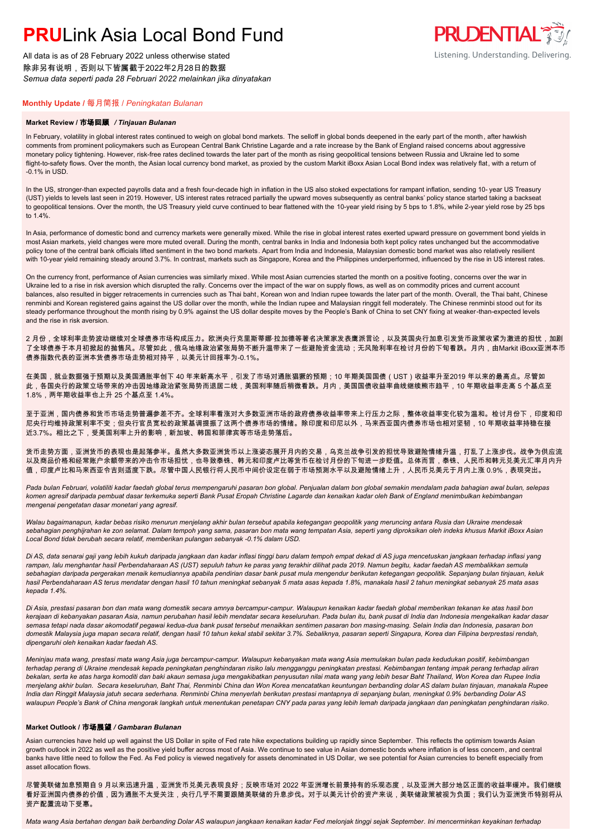# **PRU**Link Asia Local Bond Fund

All data is as of 28 February 2022 unless otherwise stated 除非另有说明,否则以下皆属截于2022年2月28日的数据 *Semua data seperti pada 28 Februari 2022 melainkan jika dinyatakan*

### **PRUDENTIAL** Listening. Understanding. Delivering.

#### **Monthly Update /** 每月简报 / *Peningkatan Bulanan*

#### **Market Review /** 市场回顾 */ Tinjauan Bulanan*

In February, volatility in global interest rates continued to weigh on global bond markets. The selloff in global bonds deepened in the early part of the month, after hawkish comments from prominent policymakers such as European Central Bank Christine Lagarde and a rate increase by the Bank of England raised concerns about aggressive monetary policy tightening. However, risk-free rates declined towards the later part of the month as rising geopolitical tensions between Russia and Ukraine led to some flight-to-safety flows. Over the month, the Asian local currency bond market, as proxied by the custom Markit iBoxx Asian Local Bond index was relatively flat, with a return of -0.1% in USD.

In the US, stronger-than expected payrolls data and a fresh four-decade high in inflation in the US also stoked expectations for rampant inflation, sending 10- year US Treasury (UST) yields to levels last seen in 2019. However, US interest rates retraced partially the upward moves subsequently as central banks' policy stance started taking a backseat to geopolitical tensions. Over the month, the US Treasury yield curve continued to bear flattened with the 10-year yield rising by 5 bps to 1.8%, while 2-year yield rose by 25 bps to 1.4%.

In Asia, performance of domestic bond and currency markets were generally mixed. While the rise in global interest rates exerted upward pressure on government bond yields in most Asian markets, yield changes were more muted overall. During the month, central banks in India and Indonesia both kept policy rates unchanged but the accommodative policy tone of the central bank officials lifted sentiment in the two bond markets. Apart from India and Indonesia, Malaysian domestic bond market was also relatively resilient with 10-year yield remaining steady around 3.7%. In contrast, markets such as Singapore, Korea and the Philippines underperformed, influenced by the rise in US interest rates.

On the currency front, performance of Asian currencies was similarly mixed. While most Asian currencies started the month on a positive footing, concerns over the war in Ukraine led to a rise in risk aversion which disrupted the rally. Concerns over the impact of the war on supply flows, as well as on commodity prices and current account balances, also resulted in bigger retracements in currencies such as Thai baht, Korean won and Indian rupee towards the later part of the month. Overall, the Thai baht, Chinese renminbi and Korean registered gains against the US dollar over the month, while the Indian rupee and Malaysian ringgit fell moderately. The Chinese renminbi stood out for its steady performance throughout the month rising by 0.9% against the US dollar despite moves by the People's Bank of China to set CNY fixing at weaker-than-expected levels and the rise in risk aversion.

2 月份,全球利率走势波动继续对全球债券市场构成压力。欧洲央行克里斯蒂娜·拉加德等著名决策家发表鹰派言论,以及英国央行加息引发货币政策收紧为激进的担忧,加剧 了全球债券于本月初掀起的抛售风。尽管如此,俄乌地缘政治紧张局势不断升温带来了一些避险资金流动;无风险利率在检讨月份的下旬看跌。月内,由Markit iBoxx亚洲本币 债券指数代表的亚洲本货债券市场走势相对持平,以美元计回报率为-0.1%。

在美国,就业数据强于预期以及美国通胀率创下 40 年来新高水平,引发了市场对通胀猖獗的预期;10 年期美国国债(UST)收益率升至2019 年以来的最高点。尽管如 此,各国央行的政策立场带来的冲击因地缘政治紧张局势而退居二线,美国利率随后稍微看跌。月内,美国国债收益率曲线继续熊市趋平,10 年期收益率走高 5 个基点至 1.8%,两年期收益率也上升 25 个基点至 1.4%。

至于亚洲,国内债券和货币市场走势普遍参差不齐。全球利率看涨对大多数亚洲市场的政府债券收益率带来上行压力之际,整体收益率变化较为温和。检讨月份下,印度和印 尼央行均维持政策利率不变;但央行官员宽松的政策基调提振了这两个债券市场的情绪。除印度和印尼以外,马来西亚国内债券市场也相对坚韧,10 年期收益率持稳在接 近3.7%。相比之下,受美国利率上升的影响,新加坡、韩国和菲律宾等市场走势落后。

货币走势方面,亚洲货币的表现也是起落参半。虽然大多数亚洲货币以上涨姿态展开月内的交易,乌克兰战争引发的担忧导致避险情绪升温,打乱了上涨步伐。战争为供应流 以及商品价格和经常账户余额带来的冲击令市场担忧,也导致泰铢、韩元和印度卢比等货币在检讨月份的下旬进一步贬值。总体而言,泰铢、人民币和韩元兑美元汇率月内升 值,印度卢比和马来西亚令吉则适度下跌。尽管中国人民银行将人民币中间价设定在弱于市场预测水平以及避险情绪上升,人民币兑美元于月内上涨 0.9%,表现突出。

Pada bulan Februari, volatiliti kadar faedah global terus mempengaruhi pasaran bon global. Penjualan dalam bon global semakin mendalam pada bahagian awal bulan, selepas *komen agresif daripada pembuat dasar terkemuka seperti Bank Pusat Eropah Christine Lagarde dan kenaikan kadar oleh Bank of England menimbulkan kebimbangan mengenai pengetatan dasar monetari yang agresif.*

*Walau bagaimanapun, kadar bebas risiko menurun menjelang akhir bulan tersebut apabila ketegangan geopolitik yang meruncing antara Rusia dan Ukraine mendesak sebahagian penghijrahan ke zon selamat. Dalam tempoh yang sama, pasaran bon mata wang tempatan Asia, seperti yang diproksikan oleh indeks khusus Markit iBoxx Asian Local Bond tidak berubah secara relatif, memberikan pulangan sebanyak -0.1% dalam USD.*

*Di AS, data senarai gaji yang lebih kukuh daripada jangkaan dan kadar inflasi tinggi baru dalam tempoh empat dekad di AS juga mencetuskan jangkaan terhadap inflasi yang rampan, lalu menghantar hasil Perbendaharaan AS (UST) sepuluh tahun ke paras yang terakhir dilihat pada 2019. Namun begitu, kadar faedah AS membalikkan semula sebahagian daripada pergerakan menaik kemudiannya apabila pendirian dasar bank pusat mula mengendur berikutan ketegangan geopolitik. Sepanjang bulan tinjauan, keluk hasil Perbendaharaan AS terus mendatar dengan hasil 10 tahun meningkat sebanyak 5 mata asas kepada 1.8%, manakala hasil 2 tahun meningkat sebanyak 25 mata asas kepada 1.4%.*

*Di Asia, prestasi pasaran bon dan mata wang domestik secara amnya bercampur-campur. Walaupun kenaikan kadar faedah global memberikan tekanan ke atas hasil bon kerajaan di kebanyakan pasaran Asia, namun perubahan hasil lebih mendatar secara keseluruhan. Pada bulan itu, bank pusat di India dan Indonesia mengekalkan kadar dasar semasa tetapi nada dasar akomodatif pegawai kedua-dua bank pusat tersebut menaikkan sentimen pasaran bon masing-masing. Selain India dan Indonesia, pasaran bon domestik Malaysia juga mapan secara relatif, dengan hasil 10 tahun kekal stabil sekitar 3.7%. Sebaliknya, pasaran seperti Singapura, Korea dan Filipina berprestasi rendah, dipengaruhi oleh kenaikan kadar faedah AS.*

*Meninjau mata wang, prestasi mata wang Asia juga bercampur-campur. Walaupun kebanyakan mata wang Asia memulakan bulan pada kedudukan positif, kebimbangan terhadap perang di Ukraine mendesak kepada peningkatan penghindaran risiko lalu mengganggu peningkatan prestasi. Kebimbangan tentang impak perang terhadap aliran bekalan, serta ke atas harga komoditi dan baki akaun semasa juga mengakibatkan penyusutan nilai mata wang yang lebih besar Baht Thailand, Won Korea dan Rupee India menjelang akhir bulan. Secara keseluruhan, Baht Thai, Renminbi China dan Won Korea mencatatkan keuntungan berbanding dolar AS dalam bulan tinjauan, manakala Rupee India dan Ringgit Malaysia jatuh secara sederhana. Renminbi China menyerlah berikutan prestasi mantapnya di sepanjang bulan, meningkat 0.9% berbanding Dolar AS walaupun People's Bank of China mengorak langkah untuk menentukan penetapan CNY pada paras yang lebih lemah daripada jangkaan dan peningkatan penghindaran risiko.*

#### **Market Outlook /** 市场展望 */ Gambaran Bulanan*

Asian currencies have held up well against the US Dollar in spite of Fed rate hike expectations building up rapidly since September. This reflects the optimism towards Asian growth outlook in 2022 as well as the positive yield buffer across most of Asia. We continue to see value in Asian domestic bonds where inflation is of less concern, and central banks have little need to follow the Fed. As Fed policy is viewed negatively for assets denominated in US Dollar, we see potential for Asian currencies to benefit especially from asset allocation flows.

尽管美联储加息预期自 9 月以来迅速升温,亚洲货币兑美元表现良好;反映市场对 2022 年亚洲增长前景持有的乐观态度,以及亚洲大部分地区正面的收益率缓冲。我们继续 看好亚洲国内债券的价值,因为通胀不太受关注,央行几乎不需要跟随美联储的升息步伐。对于以美元计价的资产来说,美联储政策被视为负面;我们认为亚洲货币特别将从 资产配置流动下受惠。

*Mata wang Asia bertahan dengan baik berbanding Dolar AS walaupun jangkaan kenaikan kadar Fed melonjak tinggi sejak September. Ini mencerminkan keyakinan terhadap*